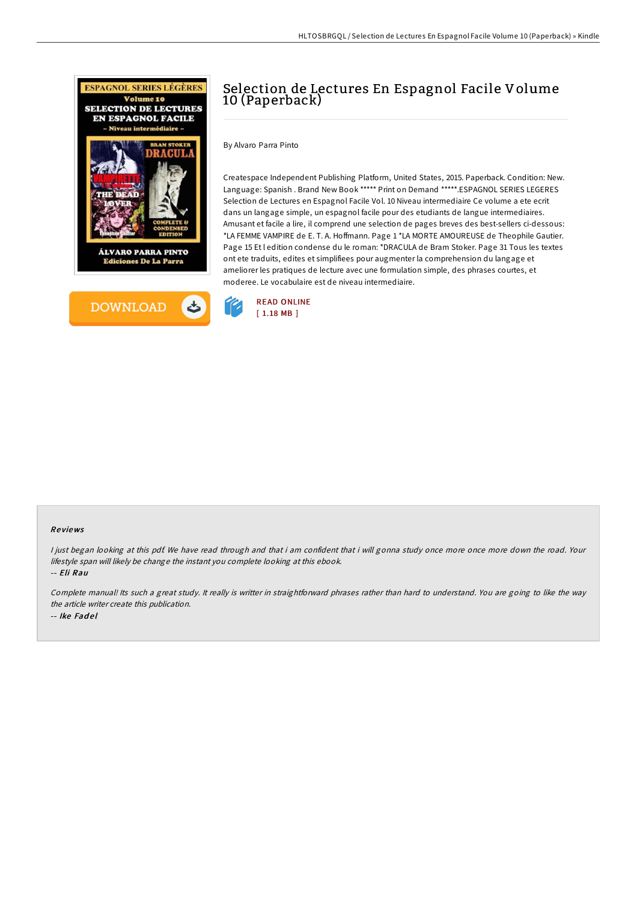



# Selection de Lectures En Espagnol Facile Volume 10 (Paperback)

By Alvaro Parra Pinto

Createspace Independent Publishing Platform, United States, 2015. Paperback. Condition: New. Language: Spanish . Brand New Book \*\*\*\*\* Print on Demand \*\*\*\*\*.ESPAGNOL SERIES LEGERES Selection de Lectures en Espagnol Facile Vol. 10 Niveau intermediaire Ce volume a ete ecrit dans un langage simple, un espagnol facile pour des etudiants de langue intermediaires. Amusant et facile a lire, il comprend une selection de pages breves des best-sellers ci-dessous: \*LA FEMME VAMPIRE de E. T. A. Hoffmann. Page 1 \*LA MORTE AMOUREUSE de Theophile Gautier. Page 15 Et l edition condense du le roman: \*DRACULA de Bram Stoker. Page 31 Tous les textes ont ete traduits, edites et simplifiees pour augmenter la comprehension du langage et ameliorer les pratiques de lecture avec une formulation simple, des phrases courtes, et moderee. Le vocabulaire est de niveau intermediaire.



#### Re views

<sup>I</sup> just began looking at this pdf. We have read through and that i am confident that i will gonna study once more once more down the road. Your lifestyle span will likely be change the instant you complete looking at this ebook.

-- Eli Rau

Complete manual! Its such <sup>a</sup> great study. It really is writter in straightforward phrases rather than hard to understand. You are going to like the way the article writer create this publication. -- Ike Fadel